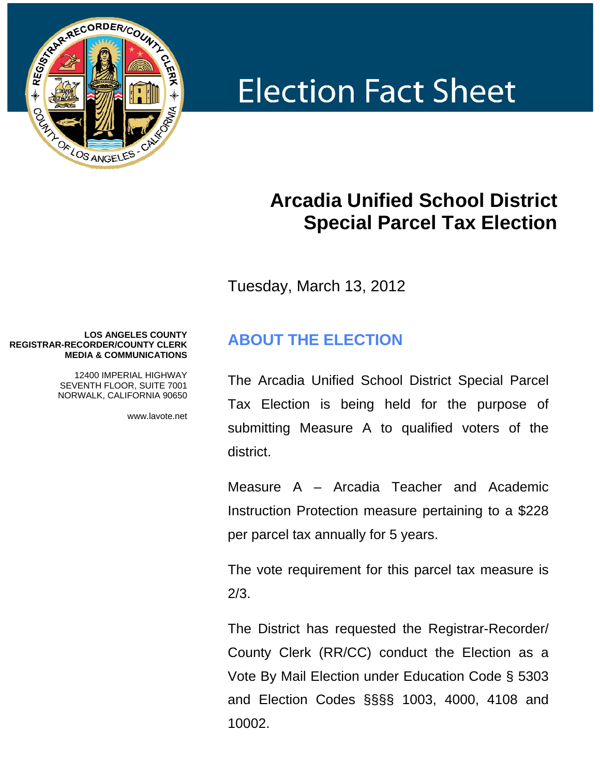

# **Election Fact Sheet**

# **Arcadia Unified School District Special Parcel Tax Election**

Tuesday, March 13, 2012

#### **LOS ANGELES COUNTY REGISTRAR-RECORDER/COUNTY CLERK MEDIA & COMMUNICATIONS**

12400 IMPERIAL HIGHWAY SEVENTH FLOOR, SUITE 7001 NORWALK, CALIFORNIA 90650

www.lavote.net

## **ABOUT THE ELECTION**

The Arcadia Unified School District Special Parcel Tax Election is being held for the purpose of submitting Measure A to qualified voters of the district.

Measure A – Arcadia Teacher and Academic Instruction Protection measure pertaining to a \$228 per parcel tax annually for 5 years.

The vote requirement for this parcel tax measure is 2/3.

The District has requested the Registrar-Recorder/ County Clerk (RR/CC) conduct the Election as a Vote By Mail Election under Education Code § 5303 and Election Codes §§§§ 1003, 4000, 4108 and 10002.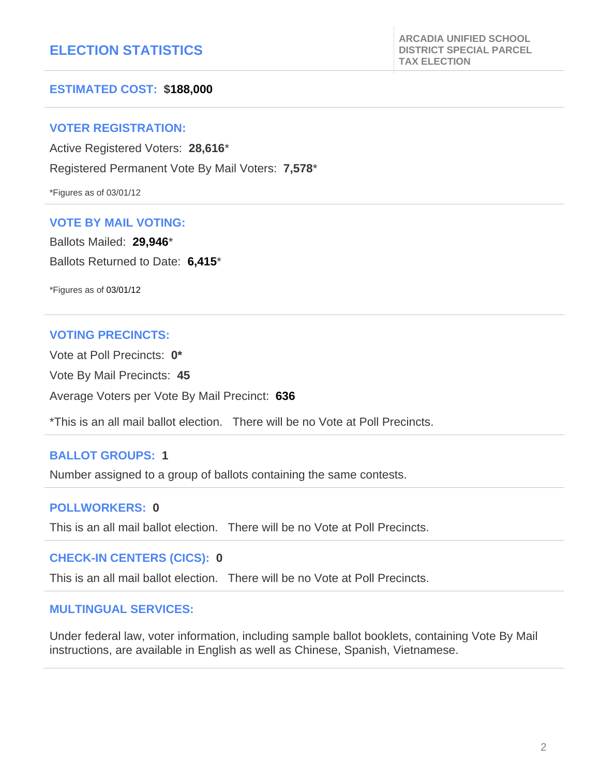## **ELECTION STATISTICS**

#### **ESTIMATED COST: \$188,000**

#### **VOTER REGISTRATION:**

Active Registered Voters: **28,616**\*

Registered Permanent Vote By Mail Voters: **7,578**\*

\*Figures as of 03/01/12

#### **VOTE BY MAIL VOTING:**

Ballots Mailed: **29,946**\* Ballots Returned to Date: **6,415**\*

\*Figures as of 03/01/12

#### **VOTING PRECINCTS:**

Vote at Poll Precincts: **0\***  Vote By Mail Precincts: **45** 

Average Voters per Vote By Mail Precinct: **636**

\*This is an all mail ballot election. There will be no Vote at Poll Precincts.

#### **BALLOT GROUPS: 1**

Number assigned to a group of ballots containing the same contests.

#### **POLLWORKERS: 0**

This is an all mail ballot election. There will be no Vote at Poll Precincts.

#### **CHECK-IN CENTERS (CICS): 0**

This is an all mail ballot election. There will be no Vote at Poll Precincts.

#### **MULTINGUAL SERVICES:**

Under federal law, voter information, including sample ballot booklets, containing Vote By Mail instructions, are available in English as well as Chinese, Spanish, Vietnamese.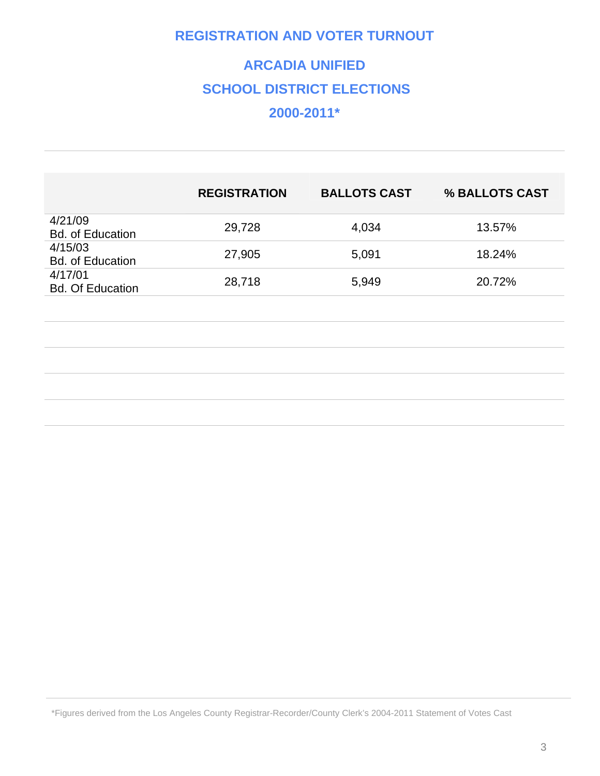## **REGISTRATION AND VOTER TURNOUT**

# **ARCADIA UNIFIED SCHOOL DISTRICT ELECTIONS 2000-2011\***

|                                    | <b>REGISTRATION</b> | <b>BALLOTS CAST</b> | % BALLOTS CAST |
|------------------------------------|---------------------|---------------------|----------------|
| 4/21/09<br><b>Bd. of Education</b> | 29,728              | 4,034               | 13.57%         |
| 4/15/03<br><b>Bd. of Education</b> | 27,905              | 5,091               | 18.24%         |
| 4/17/01<br><b>Bd. Of Education</b> | 28,718              | 5,949               | 20.72%         |
|                                    |                     |                     |                |

\*Figures derived from the Los Angeles County Registrar-Recorder/County Clerk's 2004-2011 Statement of Votes Cast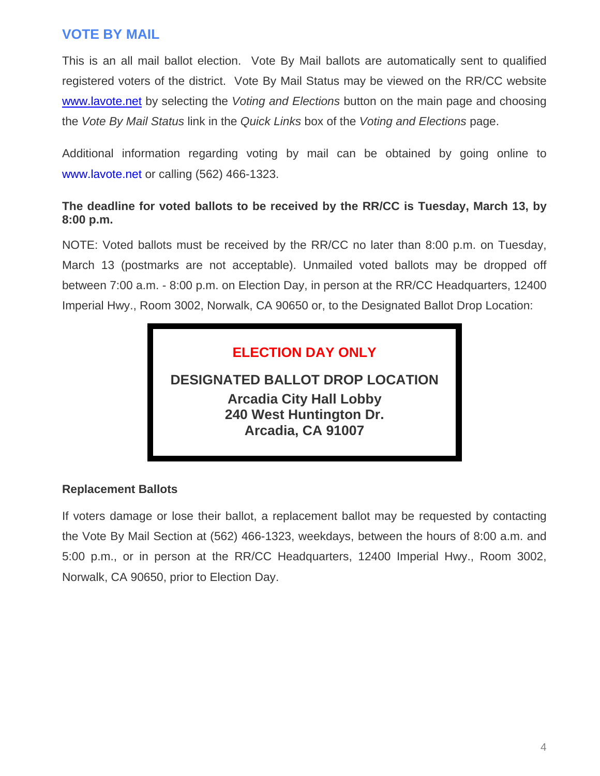## **VOTE BY MAIL**

This is an all mail ballot election. Vote By Mail ballots are automatically sent to qualified registered voters of the district. Vote By Mail Status may be viewed on the RR/CC website [www.lavote.net](http://www.lavote.net/) by selecting the *Voting and Elections* button on the main page and choosing the *Vote By Mail Status* link in the *Quick Links* box of the *Voting and Elections* page.

Additional information regarding voting by mail can be obtained by going online to [www.lavote.net](http://www.lavote.net/) or calling (562) 466-1323.

#### **The deadline for voted ballots to be received by the RR/CC is Tuesday, March 13, by 8:00 p.m.**

NOTE: Voted ballots must be received by the RR/CC no later than 8:00 p.m. on Tuesday, March 13 (postmarks are not acceptable). Unmailed voted ballots may be dropped off between 7:00 a.m. - 8:00 p.m. on Election Day, in person at the RR/CC Headquarters, 12400 Imperial Hwy., Room 3002, Norwalk, CA 90650 or, to the Designated Ballot Drop Location:



### **Replacement Ballots**

If voters damage or lose their ballot, a replacement ballot may be requested by contacting the Vote By Mail Section at (562) 466-1323, weekdays, between the hours of 8:00 a.m. and 5:00 p.m., or in person at the RR/CC Headquarters, 12400 Imperial Hwy., Room 3002, Norwalk, CA 90650, prior to Election Day.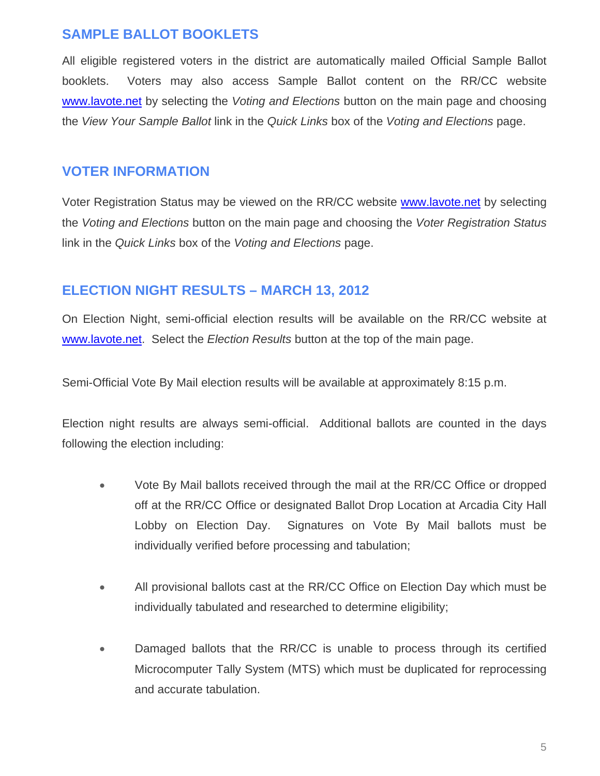## **SAMPLE BALLOT BOOKLETS**

All eligible registered voters in the district are automatically mailed Official Sample Ballot booklets. Voters may also access Sample Ballot content on the RR/CC website [www.lavote.net](http://www.lavote.net/) by selecting the *Voting and Elections* button on the main page and choosing the *View Your Sample Ballot* link in the *Quick Links* box of the *Voting and Elections* page.

## **VOTER INFORMATION**

Voter Registration Status may be viewed on the RR/CC website [www.lavote.net](http://www.lavote.net/) by selecting the *Voting and Elections* button on the main page and choosing the *Voter Registration Status*  link in the *Quick Links* box of the *Voting and Elections* page.

### **ELECTION NIGHT RESULTS – MARCH 13, 2012**

On Election Night, semi-official election results will be available on the RR/CC website at [www.lavote.net.](http://www.lavote.net/) Select the *Election Results* button at the top of the main page.

Semi-Official Vote By Mail election results will be available at approximately 8:15 p.m.

Election night results are always semi-official. Additional ballots are counted in the days following the election including:

- Vote By Mail ballots received through the mail at the RR/CC Office or dropped off at the RR/CC Office or designated Ballot Drop Location at Arcadia City Hall Lobby on Election Day. Signatures on Vote By Mail ballots must be individually verified before processing and tabulation;
- All provisional ballots cast at the RR/CC Office on Election Day which must be individually tabulated and researched to determine eligibility;
- Damaged ballots that the RR/CC is unable to process through its certified Microcomputer Tally System (MTS) which must be duplicated for reprocessing and accurate tabulation.